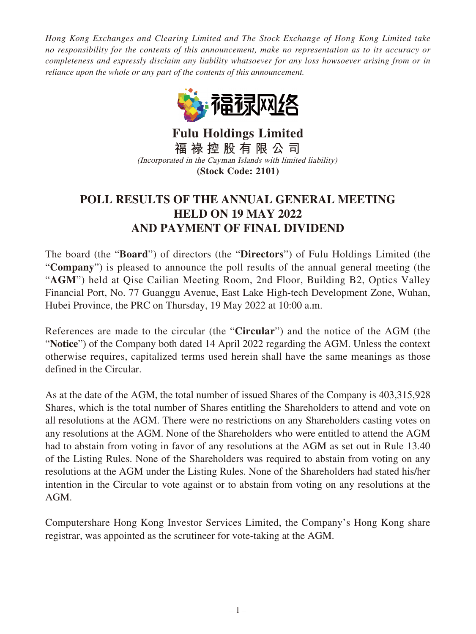*Hong Kong Exchanges and Clearing Limited and The Stock Exchange of Hong Kong Limited take no responsibility for the contents of this announcement, make no representation as to its accuracy or completeness and expressly disclaim any liability whatsoever for any loss howsoever arising from or in reliance upon the whole or any part of the contents of this announcement.*



**Fulu Holdings Limited 福 祿 控 股 有 限 公 司** (Incorporated in the Cayman Islands with limited liability) **(Stock Code: 2101)**

## **POLL RESULTS OF THE ANNUAL GENERAL MEETING HELD ON 19 MAY 2022 AND PAYMENT OF FINAL DIVIDEND**

The board (the "**Board**") of directors (the "**Directors**") of Fulu Holdings Limited (the "**Company**") is pleased to announce the poll results of the annual general meeting (the "**AGM**") held at Qise Cailian Meeting Room, 2nd Floor, Building B2, Optics Valley Financial Port, No. 77 Guanggu Avenue, East Lake High-tech Development Zone, Wuhan, Hubei Province, the PRC on Thursday, 19 May 2022 at 10:00 a.m.

References are made to the circular (the "**Circular**") and the notice of the AGM (the "**Notice**") of the Company both dated 14 April 2022 regarding the AGM. Unless the context otherwise requires, capitalized terms used herein shall have the same meanings as those defined in the Circular.

As at the date of the AGM, the total number of issued Shares of the Company is 403,315,928 Shares, which is the total number of Shares entitling the Shareholders to attend and vote on all resolutions at the AGM. There were no restrictions on any Shareholders casting votes on any resolutions at the AGM. None of the Shareholders who were entitled to attend the AGM had to abstain from voting in favor of any resolutions at the AGM as set out in Rule 13.40 of the Listing Rules. None of the Shareholders was required to abstain from voting on any resolutions at the AGM under the Listing Rules. None of the Shareholders had stated his/her intention in the Circular to vote against or to abstain from voting on any resolutions at the AGM.

Computershare Hong Kong Investor Services Limited, the Company's Hong Kong share registrar, was appointed as the scrutineer for vote-taking at the AGM.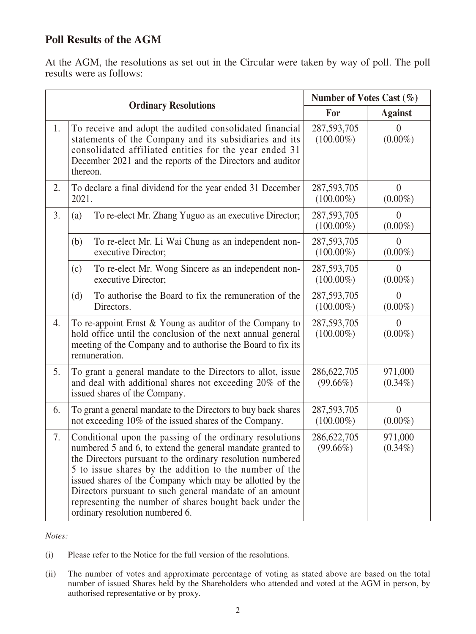## **Poll Results of the AGM**

At the AGM, the resolutions as set out in the Circular were taken by way of poll. The poll results were as follows:

| <b>Ordinary Resolutions</b> |                                                                                                                                                                                                                                                                                                                                                                                                                                                                      | Number of Votes Cast $(\% )$  |                              |
|-----------------------------|----------------------------------------------------------------------------------------------------------------------------------------------------------------------------------------------------------------------------------------------------------------------------------------------------------------------------------------------------------------------------------------------------------------------------------------------------------------------|-------------------------------|------------------------------|
|                             |                                                                                                                                                                                                                                                                                                                                                                                                                                                                      | For                           | <b>Against</b>               |
| 1.                          | To receive and adopt the audited consolidated financial<br>statements of the Company and its subsidiaries and its<br>consolidated affiliated entities for the year ended 31<br>December 2021 and the reports of the Directors and auditor<br>thereon.                                                                                                                                                                                                                | 287,593,705<br>$(100.00\%)$   | $\theta$<br>$(0.00\%)$       |
| 2.                          | To declare a final dividend for the year ended 31 December<br>2021.                                                                                                                                                                                                                                                                                                                                                                                                  | 287, 593, 705<br>$(100.00\%)$ | $\overline{0}$<br>$(0.00\%)$ |
| 3.                          | To re-elect Mr. Zhang Yuguo as an executive Director;<br>(a)                                                                                                                                                                                                                                                                                                                                                                                                         | 287,593,705<br>$(100.00\%)$   | $\theta$<br>$(0.00\%)$       |
|                             | To re-elect Mr. Li Wai Chung as an independent non-<br>(b)<br>executive Director;                                                                                                                                                                                                                                                                                                                                                                                    | 287, 593, 705<br>$(100.00\%)$ | $\theta$<br>$(0.00\%)$       |
|                             | To re-elect Mr. Wong Sincere as an independent non-<br>(c)<br>executive Director;                                                                                                                                                                                                                                                                                                                                                                                    | 287, 593, 705<br>$(100.00\%)$ | $\theta$<br>$(0.00\%)$       |
|                             | To authorise the Board to fix the remuneration of the<br>(d)<br>Directors.                                                                                                                                                                                                                                                                                                                                                                                           | 287, 593, 705<br>$(100.00\%)$ | $\theta$<br>$(0.00\%)$       |
| 4.                          | To re-appoint Ernst & Young as auditor of the Company to<br>hold office until the conclusion of the next annual general<br>meeting of the Company and to authorise the Board to fix its<br>remuneration.                                                                                                                                                                                                                                                             | 287, 593, 705<br>$(100.00\%)$ | $\theta$<br>$(0.00\%)$       |
| 5.                          | To grant a general mandate to the Directors to allot, issue<br>and deal with additional shares not exceeding 20% of the<br>issued shares of the Company.                                                                                                                                                                                                                                                                                                             | 286, 622, 705<br>$(99.66\%)$  | 971,000<br>$(0.34\%)$        |
| 6.                          | To grant a general mandate to the Directors to buy back shares<br>not exceeding 10% of the issued shares of the Company.                                                                                                                                                                                                                                                                                                                                             | 287,593,705<br>$(100.00\%)$   | $\theta$<br>$(0.00\%)$       |
| 7.                          | Conditional upon the passing of the ordinary resolutions<br>numbered 5 and 6, to extend the general mandate granted to<br>the Directors pursuant to the ordinary resolution numbered<br>5 to issue shares by the addition to the number of the<br>issued shares of the Company which may be allotted by the<br>Directors pursuant to such general mandate of an amount<br>representing the number of shares bought back under the<br>ordinary resolution numbered 6. | 286, 622, 705<br>$(99.66\%)$  | 971,000<br>$(0.34\%)$        |

*Notes:*

- (i) Please refer to the Notice for the full version of the resolutions.
- (ii) The number of votes and approximate percentage of voting as stated above are based on the total number of issued Shares held by the Shareholders who attended and voted at the AGM in person, by authorised representative or by proxy.